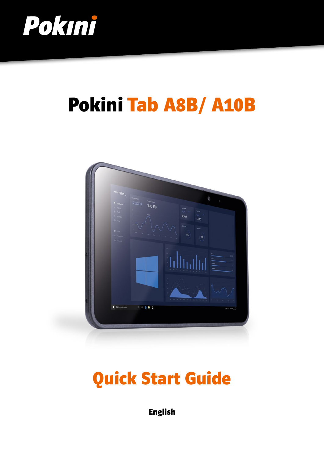

# Pokini Tab A8B/ A10B



## Quick Start Guide

English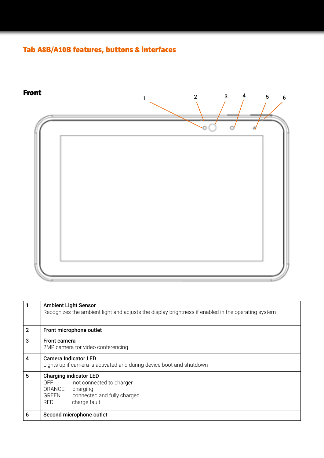### Tab A8B/A10B features, buttons & interfaces



| $\mathbf{1}$   | <b>Ambient Light Sensor</b><br>Recognizes the ambient light and adjusts the display brightness if enabled in the operating system                         |
|----------------|-----------------------------------------------------------------------------------------------------------------------------------------------------------|
| $\overline{2}$ | Front microphone outlet                                                                                                                                   |
| 3              | <b>Front camera</b><br>2MP camera for video conferencing                                                                                                  |
| $\overline{4}$ | <b>Camera Indicator LED</b><br>Lights up if camera is activated and during device boot and shutdown                                                       |
| 5              | <b>Charging indicator LED</b><br>OFF not connected to charger<br>ORANGE<br>charging<br><b>GREEN</b><br>connected and fully charged<br>charge fault<br>RED |
| 6              | Second microphone outlet                                                                                                                                  |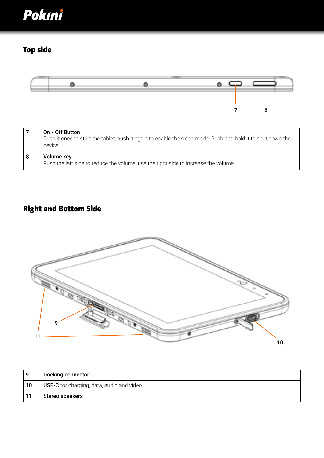

## Top side



| On / Off Button<br>Push it once to start the tablet; push it again to enable the sleep mode. Push and hold it to shut down the<br>device. |
|-------------------------------------------------------------------------------------------------------------------------------------------|
| Volume key<br>Push the left side to reduce the volume, use the right side to increase the volume                                          |

## Right and Bottom Side



| ٥  | <b>Docking connector</b>                         |
|----|--------------------------------------------------|
| 10 | <b>USB-C</b> for charging, data, audio and video |
|    | Stereo speakers                                  |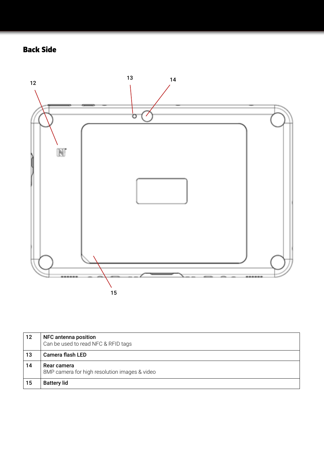## Back Side



| 12 | NFC antenna position<br>Can be used to read NFC & RFID tags  |
|----|--------------------------------------------------------------|
| 13 | Camera flash LED                                             |
| 14 | Rear camera<br>8MP camera for high resolution images & video |
| 15 | <b>Battery lid</b>                                           |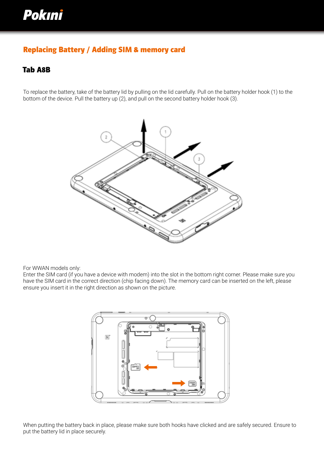## Pokini

#### Replacing Battery / Adding SIM & memory card

#### Tab A8B

To replace the battery, take of the battery lid by pulling on the lid carefully. Pull on the battery holder hook (1) to the bottom of the device. Pull the battery up (2), and pull on the second battery holder hook (3).



For WWAN models only:

Enter the SIM card (if you have a device with modem) into the slot in the bottom right corner. Please make sure you have the SIM card in the correct direction (chip facing down). The memory card can be inserted on the left, please ensure you insert it in the right direction as shown on the picture.



When putting the battery back in place, please make sure both hooks have clicked and are safely secured. Ensure to put the battery lid in place securely.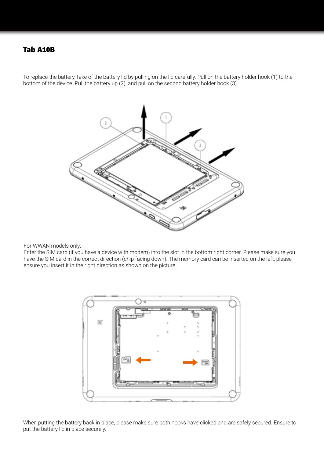#### Tab A10B

To replace the battery, take of the battery lid by pulling on the lid carefully. Pull on the battery holder hook (1) to the bottom of the device. Pull the battery up (2), and pull on the second battery holder hook (3).



For WWAN models only:

Enter the SIM card (if you have a device with modem) into the slot in the bottom right corner. Please make sure you have the SIM card in the correct direction (chip facing down). The memory card can be inserted on the left, please ensure you insert it in the right direction as shown on the picture.



When putting the battery back in place, please make sure both hooks have clicked and are safely secured. Ensure to put the battery lid in place securely.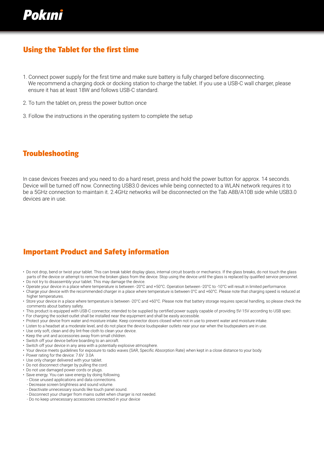

#### Using the Tablet for the first time

- 1. Connect power supply for the first time and make sure battery is fully charged before disconnecting. We recommend a charging dock or docking station to charge the tablet. If you use a USB-C wall charger, please ensure it has at least 18W and follows USB-C standard.
- 2. To turn the tablet on, press the power button once
- 3. Follow the instructions in the operating system to complete the setup

#### Troubleshooting

In case devices freezes and you need to do a hard reset, press and hold the power button for approx. 14 seconds. Device will be turned off now. Connecting USB3.0 devices while being connected to a WLAN network requires it to be a 5GHz connection to maintain it. 2.4GHz networks will be disconnected on the Tab A8B/A10B side while USB3.0 devices are in use.

#### Important Product and Safety information

- Do not drop, bend or twist your tablet. This can break tablet display glass, internal circuit boards or mechanics. If the glass breaks, do not touch the glass parts of the device or attempt to remove the broken glass from the device. Stop using the device until the glass is replaced by qualified service personnel. • Do not try to disassembly your tablet. This may damage the device.
- Operate your device in a place where temperature is between -20°C and +50°C. Operation between -20°C to -10°C will result in limited performance.
- Charge your device with the recommended charger in a place where temperature is between 0°C and +60°C. Please note that charging speed is reduced at higher temperatures.
- Store your device in a place where temperature is between -20°C and +60°C. Please note that battery storage requires special handling, so please check the comments about battery safety.
- This product is equipped with USB-C connector, intended to be supplied by certified power supply capable of providing 5V-15V according to USB spec.
- For charging the socket-outlet shall be installed near the equipment and shall be easily accessible.
- Protect your device from water and moisture intake. Keep connector doors closed when not in use to prevent water and moisture intake.
- Listen to a headset at a moderate level, and do not place the device loudspeaker outlets near your ear when the loudspeakers are in use.
- Use only soft, clean and dry lint-free cloth to clean your device.
- Keep the unit and accessories away from small children.
- Switch off your device before boarding to an aircraft.
- Switch off your device in any area with a potentially explosive atmosphere.
- Your device meets guidelines for exposure to radio waves (SAR, Specific Absorption Rate) when kept in a close distance to your body.
- Power rating for the device: 7.6V 3.0A
- Use only charger delivered with your tablet.
- Do not disconnect charger by pulling the cord.
- Do not use damaged power cords or plugs.
- Save energy. You can save energy by doing following.
- Close unused applications and data connections.
- Decrease screen brightness and sound volume.
- Deactivate unnecessary sounds like touch panel sound.
- Disconnect your charger from mains outlet when charger is not needed.
- Do no keep unnecessary accessories connected in your device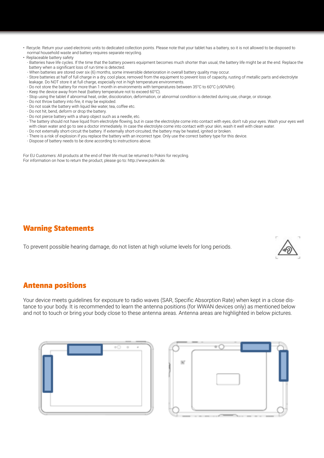- Recycle. Return your used electronic units to dedicated collection points. Please note that your tablet has a battery, so it is not allowed to be disposed to normal household waste and battery requires separate recycling.
- Replaceable battery safety
	- Batteries have life cycles. If the time that the battery powers equipment becomes much shorter than usual, the battery life might be at the end. Replace the battery when a significant loss of run time is detected.
	- When batteries are stored over six (6) months, some irreversible deterioration in overall battery quality may occur.
	- Store batteries at half of full charge in a dry, cool place, removed from the equipment to prevent loss of capacity, rusting of metallic parts and electrolyte leakage. Do NOT store it at full charge, especially not in high temperature environments.
	- Do not store the battery for more than 1 month in environments with temperatures between 35°C to 60°C (≤90%RH).
	- Keep the device away from heat (battery temperature not to exceed 60°C).
	- Stop using the tablet if abnormal heat, order, discoloration, deformation, or abnormal condition is detected during use, charge, or storage.
	- Do not throw battery into fire, it may be exploded.
	- Do not soak the battery with liquid like water, tea, coffee etc.
	- Do not hit, bend, deform or drop the battery.
	- Do not pierce battery with a sharp object such as a needle, etc.
	- The battery should not have liquid from electrolyte flowing, but in case the electrolyte come into contact with eyes, don't rub your eyes. Wash your eyes well with clean water and go to see a doctor immediately. In case the electrolyte come into contact with your skin, wash it well with clean water.
	- Do not externally short-circuit the battery. If externally short-circuited, the battery may be heated, ignited or broken.
	- There is a risk of explosion if you replace the battery with an incorrect type. Only use the correct battery type for this device.
	- Dispose of battery needs to be done according to instructions above.

For EU Customers: All products at the end of their life must be returned to Pokini for recycling. For information on how to return the product, please go to: http://www.pokini.de.

#### Warning Statements

To prevent possible hearing damage, do not listen at high volume levels for long periods.



#### Antenna positions

Your device meets guidelines for exposure to radio waves (SAR, Specific Absorption Rate) when kept in a close distance to your body. It is recommended to learn the antenna positions (for WWAN devices only) as mentioned below and not to touch or bring your body close to these antenna areas. Antenna areas are highlighted in below pictures.



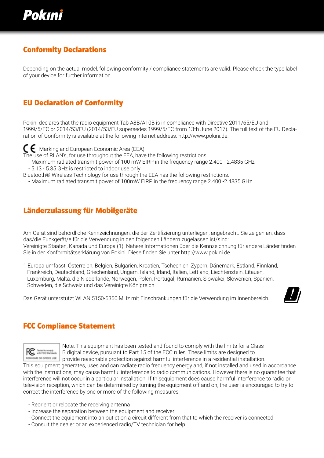

#### Conformity Declarations

Depending on the actual model, following conformity / compliance statements are valid. Please check the type label of your device for further information.

#### EU Declaration of Conformity

Pokini declares that the radio equipment Tab A8B/A10B is in compliance with Directive 2011/65/EU and 1999/5/EC or 2014/53/EU (2014/53/EU supersedes 1999/5/EC from 13th June 2017). The full text of the EU Declaration of Conformity is available at the following internet address: http://www.pokini.de.

 $\leftarrow$  -Marking and European Economic Area (EEA)

The use of RLAN's, for use throughout the EEA, have the following restrictions:

- Maximum radiated transmit power of 100 mW EIRP in the frequency range 2.400 2.4835 GHz
- 5.13 5.35 GHz is restricted to indoor use only

Bluetooth® Wireless Technology for use through the EEA has the following restrictions:

- Maximum radiated transmit power of 100mW EIRP in the frequency range 2.400 -2.4835 GHz

#### Länderzulassung für Mobilgeräte

Am Gerät sind behördliche Kennzeichnungen, die der Zertifizierung unterliegen, angebracht. Sie zeigen an, dass das/die Funkgerät/e für die Verwendung in den folgenden Ländern zugelassen ist/sind: Vereinigte Staaten, Kanada und Europa (1). Nähere Informationen über die Kennzeichnung für andere Länder finden Sie in der Konformitätserklärung von Pokini. Diese finden Sie unter http://www.pokini.de.

1 Europa umfasst: Österreich, Belgien, Bulgarien, Kroatien, Tschechien, Zypern, Dänemark, Estland, Finnland, Frankreich, Deutschland, Griechenland, Ungarn, Island, Irland, Italien, Lettland, Liechtenstein, Litauen, Luxemburg, Malta, die Niederlande, Norwegen, Polen, Portugal, Rumänien, Slowakei, Slowenien, Spanien, Schweden, die Schweiz und das Vereinigte Königreich.

Das Gerät unterstützt WLAN 5150-5350 MHz mit Einschränkungen für die Verwendung im Innenbereich..



#### FCC Compliance Statement



Note: This equipment has been tested and found to comply with the limits for a Class<br>B digital device, pursuant to Part 15 of the FCC rules. These limits are designed to B digital device, pursuant to Part 15 of the FCC rules. These limits are designed to POR HOME OR OFFICE USE provide reasonable protection against harmful interference in a residential installation.

This equipment generates, uses and can radiate radio frequency energy and, if not installed and used in accordance with the instructions, may cause harmful interference to radio communications. However there is no guarantee that interference will not occur in a particular installation. If thisequipment does cause harmful interference to radio or television reception, which can be determined by turning the equipment off and on, the user is encouraged to try to correct the interference by one or more of the following measures:

- Reorient or relocate the receiving antenna
- Increase the separation between the equipment and receiver
- Connect the equipment into an outlet on a circuit different from that to which the receiver is connected
- Consult the dealer or an experienced radio/TV technician for help.